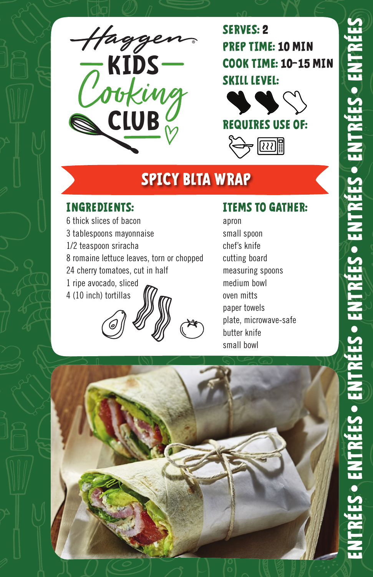

**SERVES: 2 PREP TIME: 10 MIN COOK TIME: 10–15 MIN SKILL LEVEL:**





# **SPICY BLTA WRAP**

### **INGREDIENTS:**

6 thick slices of bacon 3 tablespoons mayonnaise 1/2 teaspoon sriracha 8 romaine lettuce leaves, torn or chopped 24 cherry tomatoes, cut in half 1 ripe avocado, sliced 4 (10 inch) tortillas

## **ITEMS TO GATHER:**

apron small spoon chef's knife cutting board measuring spoons medium bowl oven mitts paper towels plate, microwave-safe butter knife small bowl